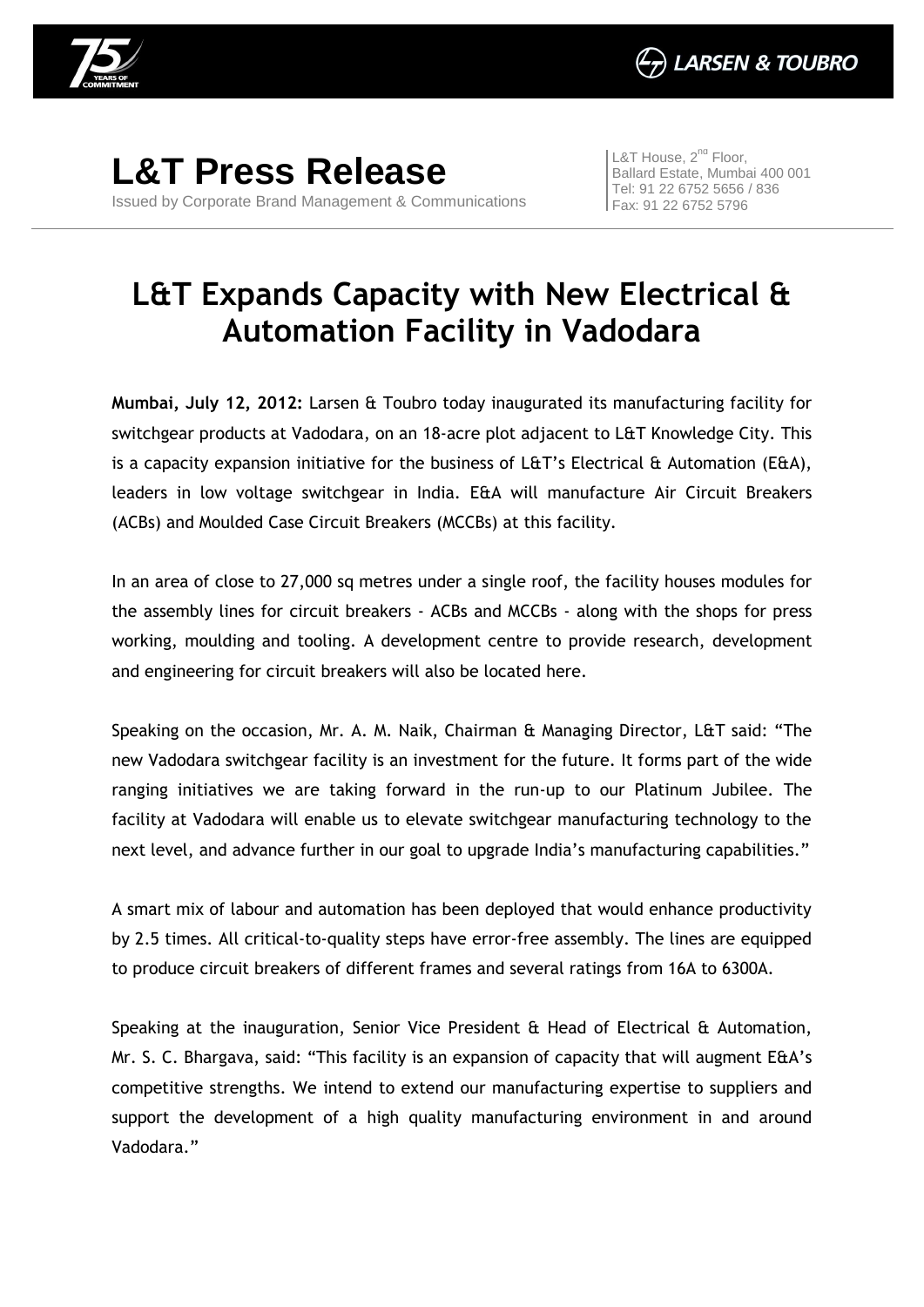

**L&T Press Release** Issued by Corporate Brand Management & Communications L&T House,  $2^{nd}$  Floor, Ballard Estate, Mumbai 400 001 Tel: 91 22 6752 5656 / 836 Fax: 91 22 6752 5796

## **L&T Expands Capacity with New Electrical & Automation Facility in Vadodara**

**Mumbai, July 12, 2012:** Larsen & Toubro today inaugurated its manufacturing facility for switchgear products at Vadodara, on an 18-acre plot adjacent to L&T Knowledge City. This is a capacity expansion initiative for the business of L&T's Electrical & Automation (E&A), leaders in low voltage switchgear in India. E&A will manufacture Air Circuit Breakers (ACBs) and Moulded Case Circuit Breakers (MCCBs) at this facility.

In an area of close to 27,000 sq metres under a single roof, the facility houses modules for the assembly lines for circuit breakers - ACBs and MCCBs - along with the shops for press working, moulding and tooling. A development centre to provide research, development and engineering for circuit breakers will also be located here.

Speaking on the occasion, Mr. A. M. Naik, Chairman & Managing Director, L&T said: "The new Vadodara switchgear facility is an investment for the future. It forms part of the wide ranging initiatives we are taking forward in the run-up to our Platinum Jubilee. The facility at Vadodara will enable us to elevate switchgear manufacturing technology to the next level, and advance further in our goal to upgrade India's manufacturing capabilities."

A smart mix of labour and automation has been deployed that would enhance productivity by 2.5 times. All critical-to-quality steps have error-free assembly. The lines are equipped to produce circuit breakers of different frames and several ratings from 16A to 6300A.

Speaking at the inauguration, Senior Vice President & Head of Electrical & Automation, Mr. S. C. Bhargava, said: "This facility is an expansion of capacity that will augment E&A's competitive strengths. We intend to extend our manufacturing expertise to suppliers and support the development of a high quality manufacturing environment in and around Vadodara."